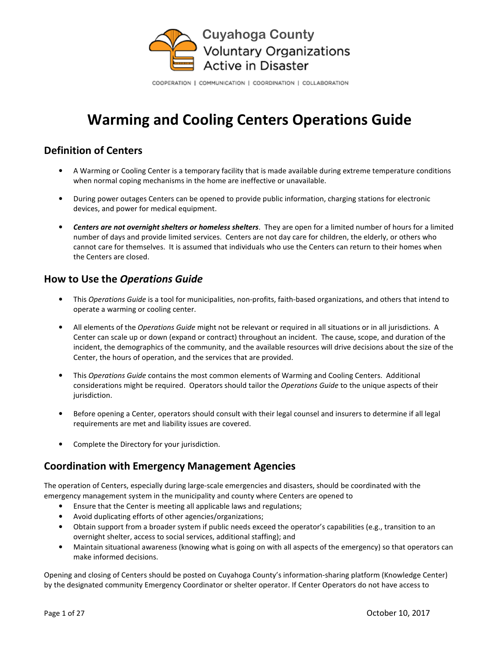

COOPERATION | COMMUNICATION | COORDINATION | COLLABORATION

# Warming and Cooling Centers Operations Guide

### Definition of Centers

- A Warming or Cooling Center is a temporary facility that is made available during extreme temperature conditions when normal coping mechanisms in the home are ineffective or unavailable.
- During power outages Centers can be opened to provide public information, charging stations for electronic devices, and power for medical equipment.
- Centers are not overnight shelters or homeless shelters. They are open for a limited number of hours for a limited number of days and provide limited services. Centers are not day care for children, the elderly, or others who cannot care for themselves. It is assumed that individuals who use the Centers can return to their homes when the Centers are closed.

### How to Use the Operations Guide

- This Operations Guide is a tool for municipalities, non-profits, faith-based organizations, and others that intend to operate a warming or cooling center.
- All elements of the Operations Guide might not be relevant or required in all situations or in all jurisdictions. A Center can scale up or down (expand or contract) throughout an incident. The cause, scope, and duration of the incident, the demographics of the community, and the available resources will drive decisions about the size of the Center, the hours of operation, and the services that are provided.
- This Operations Guide contains the most common elements of Warming and Cooling Centers. Additional considerations might be required. Operators should tailor the Operations Guide to the unique aspects of their jurisdiction.
- Before opening a Center, operators should consult with their legal counsel and insurers to determine if all legal requirements are met and liability issues are covered.
- Complete the Directory for your jurisdiction.

### Coordination with Emergency Management Agencies

The operation of Centers, especially during large-scale emergencies and disasters, should be coordinated with the emergency management system in the municipality and county where Centers are opened to

- Ensure that the Center is meeting all applicable laws and regulations;
- Avoid duplicating efforts of other agencies/organizations;
- Obtain support from a broader system if public needs exceed the operator's capabilities (e.g., transition to an overnight shelter, access to social services, additional staffing); and
- Maintain situational awareness (knowing what is going on with all aspects of the emergency) so that operators can make informed decisions.

Opening and closing of Centers should be posted on Cuyahoga County's information-sharing platform (Knowledge Center) by the designated community Emergency Coordinator or shelter operator. If Center Operators do not have access to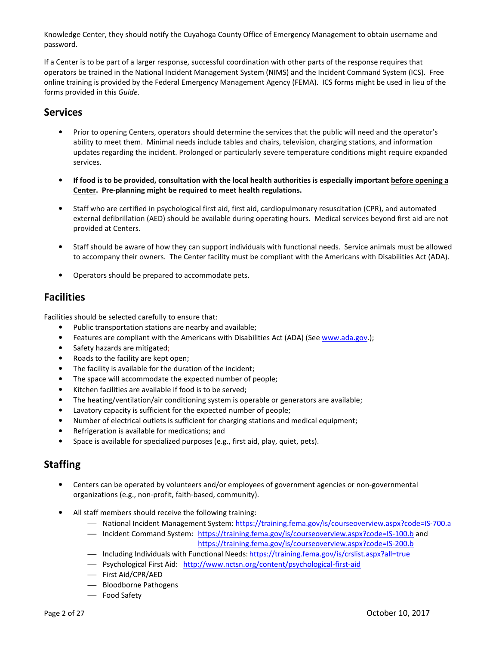Knowledge Center, they should notify the Cuyahoga County Office of Emergency Management to obtain username and password.

If a Center is to be part of a larger response, successful coordination with other parts of the response requires that operators be trained in the National Incident Management System (NIMS) and the Incident Command System (ICS). Free online training is provided by the Federal Emergency Management Agency (FEMA). ICS forms might be used in lieu of the forms provided in this Guide.

### Services

- Prior to opening Centers, operators should determine the services that the public will need and the operator's ability to meet them. Minimal needs include tables and chairs, television, charging stations, and information updates regarding the incident. Prolonged or particularly severe temperature conditions might require expanded services.
- If food is to be provided, consultation with the local health authorities is especially important before opening a Center. Pre-planning might be required to meet health regulations.
- Staff who are certified in psychological first aid, first aid, cardiopulmonary resuscitation (CPR), and automated external defibrillation (AED) should be available during operating hours. Medical services beyond first aid are not provided at Centers.
- Staff should be aware of how they can support individuals with functional needs. Service animals must be allowed to accompany their owners. The Center facility must be compliant with the Americans with Disabilities Act (ADA).
- Operators should be prepared to accommodate pets.

### Facilities

Facilities should be selected carefully to ensure that:

- Public transportation stations are nearby and available;
- Features are compliant with the Americans with Disabilities Act (ADA) (See www.ada.gov.);
- Safety hazards are mitigated;
- Roads to the facility are kept open;
- The facility is available for the duration of the incident;
- The space will accommodate the expected number of people;
- Kitchen facilities are available if food is to be served;
- The heating/ventilation/air conditioning system is operable or generators are available;
- Lavatory capacity is sufficient for the expected number of people;
- Number of electrical outlets is sufficient for charging stations and medical equipment;
- Refrigeration is available for medications; and
- Space is available for specialized purposes (e.g., first aid, play, quiet, pets).

### Staffing

- Centers can be operated by volunteers and/or employees of government agencies or non-governmental organizations (e.g., non-profit, faith-based, community).
- All staff members should receive the following training:
	- National Incident Management System: https://training.fema.gov/is/courseoverview.aspx?code=IS-700.a
	- Incident Command System: https://training.fema.gov/is/courseoverview.aspx?code=IS-100.b and https://training.fema.gov/is/courseoverview.aspx?code=IS-200.b
	- Including Individuals with Functional Needs: https://training.fema.gov/is/crslist.aspx?all=true
	- Psychological First Aid: http://www.nctsn.org/content/psychological-first-aid
	- First Aid/CPR/AED
	- Bloodborne Pathogens
	- Food Safety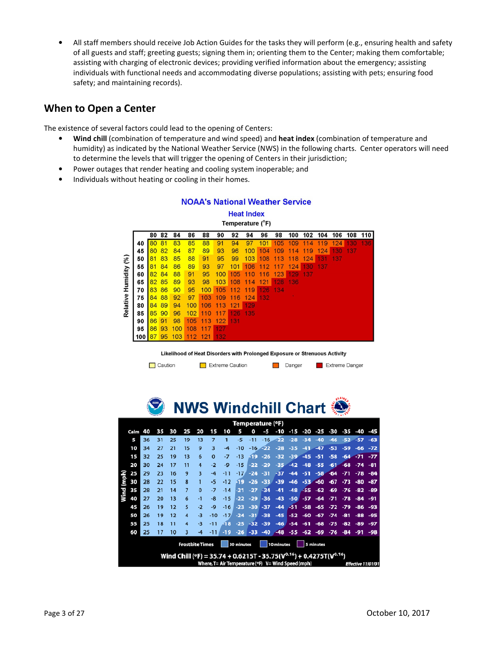• All staff members should receive Job Action Guides for the tasks they will perform (e.g., ensuring health and safety of all guests and staff; greeting guests; signing them in; orienting them to the Center; making them comfortable; assisting with charging of electronic devices; providing verified information about the emergency; assisting individuals with functional needs and accommodating diverse populations; assisting with pets; ensuring food safety; and maintaining records).

### When to Open a Center

The existence of several factors could lead to the opening of Centers:

- Wind chill (combination of temperature and wind speed) and heat index (combination of temperature and humidity) as indicated by the National Weather Service (NWS) in the following charts. Center operators will need to determine the levels that will trigger the opening of Centers in their jurisdiction;
- Power outages that render heating and cooling system inoperable; and
- Individuals without heating or cooling in their homes.

|              | <b>Heat Index</b><br>Temperature (°F) |    |    |     |     |     |     |     |     |     |     |         |     |     |     |     |     |
|--------------|---------------------------------------|----|----|-----|-----|-----|-----|-----|-----|-----|-----|---------|-----|-----|-----|-----|-----|
|              |                                       | 80 | 82 | 84  | 86  | 88  | 90  | 92  | 94  | 96  | 98  | 100     | 102 | 104 | 106 | 108 | 110 |
|              | 40                                    |    | 81 | 83  | 85  | 88  | 91  | 94  | 97  | 101 | 105 |         |     |     |     |     | 36  |
|              | 45                                    | 80 | 82 | 84  | 87  | 89  | 93  | 96  | 100 | 104 | 09  |         | 9   | 124 |     | 137 |     |
| Humidity (%) | 50                                    | 81 | 83 | 85  | 88  | 91  | 95  | 99  | 103 | 108 | з   | 8<br>11 | 124 | -3  | 37  |     |     |
|              | 55                                    | 81 | 84 | 86  | 89  | 93  | 97  | 101 | 106 | 2   |     | 124     | 130 | 137 |     |     |     |
|              | 60                                    | 82 | 84 | 88  | 91  | 95  | 100 | 105 | O   | 6   | 123 | 129     | 137 |     |     |     |     |
|              | 65                                    | 82 | 85 | 89  | 93  | 98  | 103 | 08  | 4   | 21  | 128 | 136     |     |     |     |     |     |
|              | 70                                    | 83 | 86 | 90  | 95  | 100 | 105 | 2   | 19  |     | 134 |         |     |     |     |     |     |
| Relative     | 75                                    | 84 | 88 | 92  | 97  | 103 | 09  | 6   | 124 | 132 |     |         |     |     |     |     |     |
|              | 80                                    | 84 | 89 | 94  | 100 | 106 | 3   | 121 | 129 |     |     |         |     |     |     |     |     |
|              | 85                                    | 85 | 90 | 96  | 102 | O   | 7   | 126 | 135 |     |     |         |     |     |     |     |     |
|              | 90                                    | 86 | 91 | 98  | 105 | 3   | 122 | 131 |     |     |     |         |     |     |     |     |     |
|              | 95                                    | 86 | 93 | 100 | 08  |     | 127 |     |     |     |     |         |     |     |     |     |     |
|              | 100                                   | 87 | 95 | 103 |     | 21  | 132 |     |     |     |     |         |     |     |     |     |     |

**NOAA's National Weather Service** 

Likelihood of Heat Disorders with Prolonged Exposure or Strenuous Activity

**Caution** Extreme Caution Danger Extreme Danger



|            |                                                                                                                                                                          |    |    |    |                 |          |                |        | Temperature (°F) |       |       |       |        |       |       |       |       |       |            |
|------------|--------------------------------------------------------------------------------------------------------------------------------------------------------------------------|----|----|----|-----------------|----------|----------------|--------|------------------|-------|-------|-------|--------|-------|-------|-------|-------|-------|------------|
|            | Calm                                                                                                                                                                     | 40 | 35 | 30 | 25              | 20       | 15             | 10     | 5                |       | -5    | -10   | $-1.5$ | -20   | -25   | -30   | -35   |       | $-40 - 45$ |
|            | 5                                                                                                                                                                        | 36 | 31 | 25 | 19 <sub>°</sub> | 13       | $\overline{7}$ |        | -5               | $-11$ | $-16$ | -22   | $-28$  | $-34$ | $-40$ | $-46$ | $-52$ | -57   | $-63$      |
|            | 10                                                                                                                                                                       | 34 | 27 | 21 | 15              | 9        | 3              | -4     | $-10$            | $-16$ | $-22$ | $-28$ | $-3.5$ | $-41$ | $-47$ | $-53$ | $-59$ | $-66$ | $-72$      |
|            | 15                                                                                                                                                                       | 32 | 25 | 19 | 13              | 6        | $\Omega$       | -7     | $-13$            | $-19$ | $-26$ | $-32$ | $-39$  | $-45$ | $-51$ | $-58$ | $-64$ | $-71$ | $-77$      |
|            | 20                                                                                                                                                                       | 30 | 24 | 17 | 11              | 4        | $-2$           | -9     | $-15$            | $-22$ | $-29$ | $-35$ | $-42$  | $-48$ | $-55$ | $-61$ | $-68$ | $-74$ | $-81$      |
|            | 25                                                                                                                                                                       | 29 | 23 | 16 | 9               | 3        | $-4$           | $-11$  | $-17/$           | $-24$ | $-31$ | $-37$ | $-44$  | $-51$ | $-58$ | $-64$ | $-71$ | $-78$ | $-84$      |
|            | 30                                                                                                                                                                       | 28 | 22 | 15 | 8               |          | -5             | $-12$  | -19              | $-26$ | $-33$ | $-39$ | $-46$  | $-53$ | $-60$ | $-67$ | $-73$ | $-80$ | $-87$      |
| Wind (mph) | 35                                                                                                                                                                       | 28 | 21 | 14 | 7               | $\Omega$ | $-7$           | $-14$  | $-21$            | $-27$ | $-34$ | $-41$ | $-4.8$ | -55   | $-62$ | $-69$ | $-76$ | -82   | $-89$      |
|            | 40                                                                                                                                                                       | 27 | 20 | 13 | 6               | $-1$     | -8             | $-15$  | $-22$            | $-29$ | $-36$ | $-43$ | $-50$  | $-57$ | $-64$ | $-71$ | $-78$ | $-84$ | -91        |
|            | 45                                                                                                                                                                       | 26 | 19 | 12 | 5               | $-2$     | $-9$           | $-16$  | $-23$            | $-30$ | $-37$ | $-44$ | $-51$  | $-58$ | $-65$ | $-72$ | $-79$ | -86   | $-93$      |
|            | 50                                                                                                                                                                       | 26 | 19 | 12 | 4               | $-3$     | $-10$          | $-17'$ | $-24$            | $-31$ | $-38$ | $-45$ | $-52$  | $-60$ | $-67$ | $-74$ | $-81$ | $-88$ | $-95$      |
|            | 55                                                                                                                                                                       | 25 | 18 | 11 | 4               | $-3$     | $-11$          | $-18$  | $-25$            | $-32$ | $-39$ | $-46$ | $-54$  | $-61$ | $-68$ | $-75$ | $-82$ | -89   | $-97$      |
|            | 60                                                                                                                                                                       | 25 | 17 | 10 | 3               | $-4$     | $-11$          | -19    | $-26$            | $-33$ | -40   | $-48$ | $-5.5$ | $-62$ | $-69$ | $-76$ | $-84$ | -91   | $-98$      |
|            | <b>Frostbite Times</b><br>10 minutes<br>5 minutes<br>30 minutes                                                                                                          |    |    |    |                 |          |                |        |                  |       |       |       |        |       |       |       |       |       |            |
|            | Wind Chill (°F) = 35.74 + 0.6215T - 35.75( $V^{0.16}$ ) + 0.4275T( $V^{0.16}$ )<br>Where, $T = Air Temperature$ (°F) $V = Wind Speed (moh)$<br><b>Effective 11/01/01</b> |    |    |    |                 |          |                |        |                  |       |       |       |        |       |       |       |       |       |            |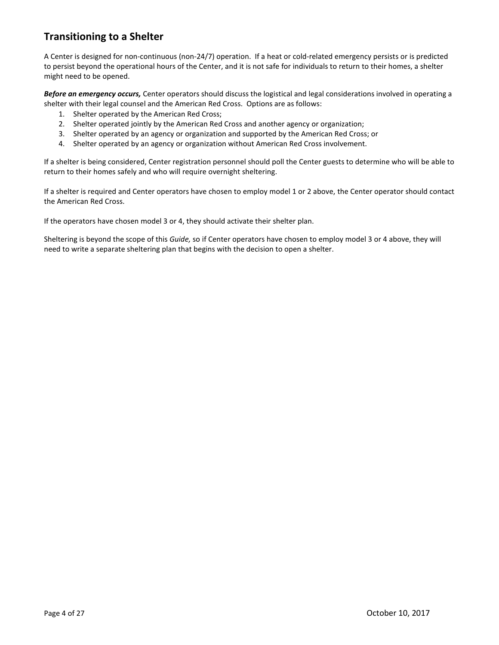### Transitioning to a Shelter

A Center is designed for non-continuous (non-24/7) operation. If a heat or cold-related emergency persists or is predicted to persist beyond the operational hours of the Center, and it is not safe for individuals to return to their homes, a shelter might need to be opened.

Before an emergency occurs, Center operators should discuss the logistical and legal considerations involved in operating a shelter with their legal counsel and the American Red Cross. Options are as follows:

- 1. Shelter operated by the American Red Cross;
- 2. Shelter operated jointly by the American Red Cross and another agency or organization;
- 3. Shelter operated by an agency or organization and supported by the American Red Cross; or
- 4. Shelter operated by an agency or organization without American Red Cross involvement.

If a shelter is being considered, Center registration personnel should poll the Center guests to determine who will be able to return to their homes safely and who will require overnight sheltering.

If a shelter is required and Center operators have chosen to employ model 1 or 2 above, the Center operator should contact the American Red Cross.

If the operators have chosen model 3 or 4, they should activate their shelter plan.

Sheltering is beyond the scope of this Guide, so if Center operators have chosen to employ model 3 or 4 above, they will need to write a separate sheltering plan that begins with the decision to open a shelter.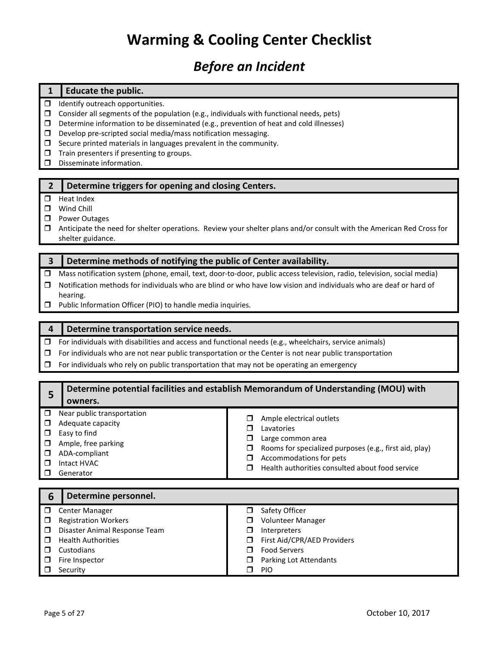## Warming & Cooling Center Checklist

### Before an Incident

### 1 | Educate the public.

 $\Box$  Identify outreach opportunities.

- $\Box$  Consider all segments of the population (e.g., individuals with functional needs, pets)
- $\Box$  Determine information to be disseminated (e.g., prevention of heat and cold illnesses)
- $\square$  Develop pre-scripted social media/mass notification messaging.
- $\Box$  Secure printed materials in languages prevalent in the community.
- $\Box$  Train presenters if presenting to groups.
- D Disseminate information.

### 2 Determine triggers for opening and closing Centers.

 $\Box$  Heat Index

- **D** Wind Chill
- **D** Power Outages
- $\Box$  Anticipate the need for shelter operations. Review your shelter plans and/or consult with the American Red Cross for shelter guidance.

### 3 Determine methods of notifying the public of Center availability.

- Mass notification system (phone, email, text, door-to-door, public access television, radio, television, social media)
- $\Box$  Notification methods for individuals who are blind or who have low vision and individuals who are deaf or hard of hearing.
- $\Box$  Public Information Officer (PIO) to handle media inquiries.

### 4 Determine transportation service needs.

- $\Box$  For individuals with disabilities and access and functional needs (e.g., wheelchairs, service animals)
- $\Box$  For individuals who are not near public transportation or the Center is not near public transportation
- $\Box$  For individuals who rely on public transportation that may not be operating an emergency

| 5                                                        | Determine potential facilities and establish Memorandum of Understanding (MOU) with<br>owners.                                      |                                                                                                                                                                                                                                    |  |  |  |  |  |
|----------------------------------------------------------|-------------------------------------------------------------------------------------------------------------------------------------|------------------------------------------------------------------------------------------------------------------------------------------------------------------------------------------------------------------------------------|--|--|--|--|--|
| $\Box$<br>$\Box$<br>$\Box$<br>$\Box$<br>$\Box$<br>$\Box$ | Near public transportation<br>Adequate capacity<br>Easy to find<br>Ample, free parking<br>ADA-compliant<br>Intact HVAC<br>Generator | Ample electrical outlets<br>п<br>Lavatories<br>l.<br>Large common area<br>ш<br>Rooms for specialized purposes (e.g., first aid, play)<br>□<br>Accommodations for pets<br>□<br>Health authorities consulted about food service<br>П |  |  |  |  |  |
| 6                                                        | Determine personnel.                                                                                                                |                                                                                                                                                                                                                                    |  |  |  |  |  |
| $\Box$                                                   | Center Manager                                                                                                                      | ⊓<br>Safety Officer                                                                                                                                                                                                                |  |  |  |  |  |
|                                                          |                                                                                                                                     | Volunteer Manager                                                                                                                                                                                                                  |  |  |  |  |  |
| $\Box$                                                   | <b>Registration Workers</b>                                                                                                         |                                                                                                                                                                                                                                    |  |  |  |  |  |
| $\Box$                                                   | Disaster Animal Response Team                                                                                                       | Interpreters                                                                                                                                                                                                                       |  |  |  |  |  |
| П                                                        | <b>Health Authorities</b>                                                                                                           | First Aid/CPR/AED Providers<br>ш                                                                                                                                                                                                   |  |  |  |  |  |
| П                                                        | Custodians                                                                                                                          | <b>Food Servers</b>                                                                                                                                                                                                                |  |  |  |  |  |
| $\Box$                                                   | Fire Inspector                                                                                                                      | Parking Lot Attendants                                                                                                                                                                                                             |  |  |  |  |  |

 $\Box$  PIO

 $\Box$  Security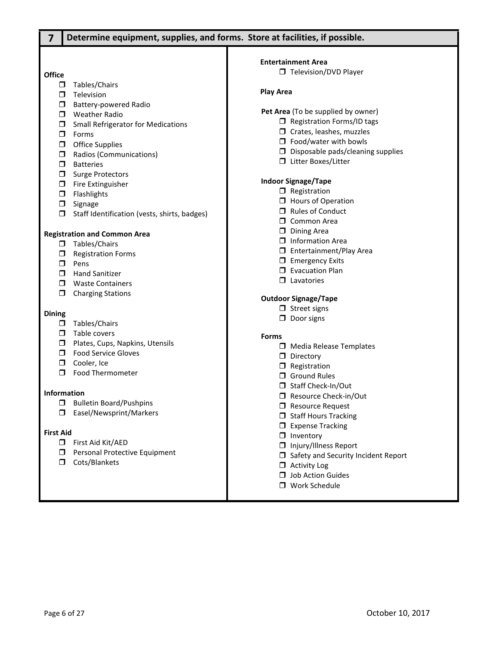#### 7 Determine equipment, supplies, and forms. Store at facilities, if possible. **Office** Tables/Chairs  $\square$  Television  $\Box$  Battery-powered Radio Weather Radio  $\Box$  Small Refrigerator for Medications Forms  $\Box$  Office Supplies Radios (Communications) **D** Batteries  $\Box$  Surge Protectors **D** Fire Extinguisher **D** Flashlights  $\Box$  Signage  $\Box$  Staff Identification (vests, shirts, badges) Registration and Common Area Tables/Chairs  $\Box$  Registration Forms  $\square$  Pens **Hand Sanitizer D** Waste Containers  $\Box$  Charging Stations Dining Tables/Chairs  $\Box$  Table covers **D** Plates, Cups, Napkins, Utensils **D** Food Service Gloves **D** Cooler, Ice **D** Food Thermometer Information **Bulletin Board/Pushpins** □ Easel/Newsprint/Markers First Aid □ First Aid Kit/AED **D** Personal Protective Equipment **D** Cots/Blankets Entertainment Area **T** Television/DVD Player Play Area Pet Area (To be supplied by owner)  $\square$  Registration Forms/ID tags Crates, leashes, muzzles  $\square$  Food/water with bowls  $\square$  Disposable pads/cleaning supplies □ Litter Boxes/Litter Indoor Signage/Tape  $\Box$  Registration **Hours of Operation** □ Rules of Conduct **D** Common Area D Dining Area **I** Information Area Entertainment/Play Area **T** Emergency Exits **D** Evacuation Plan **D** Lavatories Outdoor Signage/Tape  $\Box$  Street signs D Door signs Forms □ Media Release Templates D Directory  $\Box$  Registration Ground Rules □ Staff Check-In/Out □ Resource Check-in/Out □ Resource Request  $\Box$  Staff Hours Tracking **T** Expense Tracking  $\Box$  Inventory Injury/Illness Report  $\Box$  Safety and Security Incident Report □ Activity Log **Job Action Guides U** Work Schedule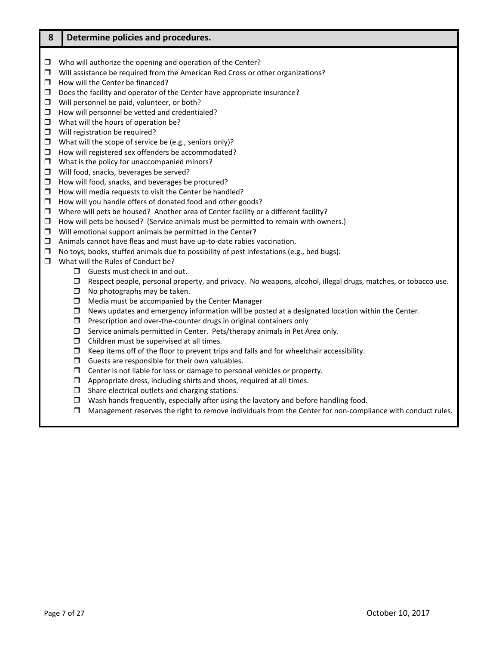### 8 Determine policies and procedures.

- $\Box$  Who will authorize the opening and operation of the Center?
- Will assistance be required from the American Red Cross or other organizations?
- $\Box$  How will the Center be financed?
- $\square$  Does the facility and operator of the Center have appropriate insurance?
- □ Will personnel be paid, volunteer, or both?
- $\Box$  How will personnel be vetted and credentialed?
- $\Box$  What will the hours of operation be?
- Will registration be required?
- $\Box$  What will the scope of service be (e.g., seniors only)?
- $\Box$  How will registered sex offenders be accommodated?
- $\Box$  What is the policy for unaccompanied minors?
- □ Will food, snacks, beverages be served?
- $\Box$  How will food, snacks, and beverages be procured?
- $\Box$  How will media requests to visit the Center be handled?
- $\Box$  How will you handle offers of donated food and other goods?
- $\Box$  Where will pets be housed? Another area of Center facility or a different facility?
- $\Box$  How will pets be housed? (Service animals must be permitted to remain with owners.)
- $\Box$  Will emotional support animals be permitted in the Center?
- $\Box$  Animals cannot have fleas and must have up-to-date rabies vaccination.
- $\Box$  No toys, books, stuffed animals due to possibility of pest infestations (e.g., bed bugs).
- What will the Rules of Conduct be?
	- Guests must check in and out.
	- $\Box$  Respect people, personal property, and privacy. No weapons, alcohol, illegal drugs, matches, or tobacco use.
	- $\Box$  No photographs may be taken.
	- $\Box$  Media must be accompanied by the Center Manager
	- $\Box$  News updates and emergency information will be posted at a designated location within the Center.
	- $\square$  Prescription and over-the-counter drugs in original containers only
	- $\square$  Service animals permitted in Center. Pets/therapy animals in Pet Area only.
	- $\Box$  Children must be supervised at all times.
	- $\Box$  Keep items off of the floor to prevent trips and falls and for wheelchair accessibility.
	- $\Box$  Guests are responsible for their own valuables.
	- $\Box$  Center is not liable for loss or damage to personal vehicles or property.
	- $\Box$  Appropriate dress, including shirts and shoes, required at all times.
	- $\Box$  Share electrical outlets and charging stations.
	- $\Box$  Wash hands frequently, especially after using the lavatory and before handling food.
	- $\Box$  Management reserves the right to remove individuals from the Center for non-compliance with conduct rules.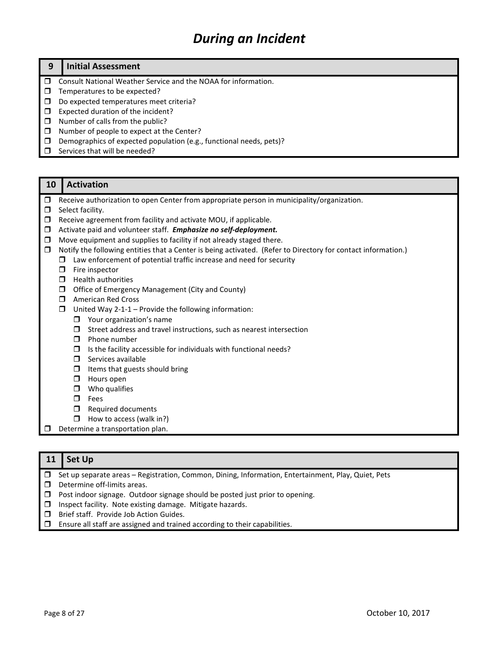## During an Incident

### 9 Initial Assessment

- Consult National Weather Service and the NOAA for information.
- $\Box$  Temperatures to be expected?
- $\Box$  Do expected temperatures meet criteria?
- $\square$  Expected duration of the incident?
- $\Box$  Number of calls from the public?
- $\Box$  Number of people to expect at the Center?
- D Demographics of expected population (e.g., functional needs, pets)?
- $\square$  Services that will be needed?

### 10 Activation

 $\Box$  Receive authorization to open Center from appropriate person in municipality/organization.

- $\Box$  Select facility.
- $\Box$  Receive agreement from facility and activate MOU, if applicable.
- $\Box$  Activate paid and volunteer staff. Emphasize no self-deployment.
- $\Box$  Move equipment and supplies to facility if not already staged there.
- $\Box$  Notify the following entities that a Center is being activated. (Refer to Directory for contact information.)
	- $\Box$  Law enforcement of potential traffic increase and need for security
	- $\Box$  Fire inspector
	- $\Box$  Health authorities
	- $\Box$  Office of Emergency Management (City and County)
	- **D** American Red Cross
	- $\Box$  United Way 2-1-1 Provide the following information:
		- $\Box$  Your organization's name
			- $\Box$  Street address and travel instructions, such as nearest intersection
		- $\square$  Phone number
		- $\Box$  Is the facility accessible for individuals with functional needs?
		- $\square$  Services available
		- $\Box$  Items that guests should bring
		- **D** Hours open
		- $\Box$  Who qualifies
		- $\Box$  Fees
		- $\Box$  Required documents
		- $\Box$  How to access (walk in?)
- $\Box$  Determine a transportation plan.

### 11 Set Up

- Set up separate areas Registration, Common, Dining, Information, Entertainment, Play, Quiet, Pets
- $\square$  Determine off-limits areas.
- $\Box$  Post indoor signage. Outdoor signage should be posted just prior to opening.
- $\Box$  Inspect facility. Note existing damage. Mitigate hazards.
- **D** Brief staff. Provide Job Action Guides.
- $\square$  Ensure all staff are assigned and trained according to their capabilities.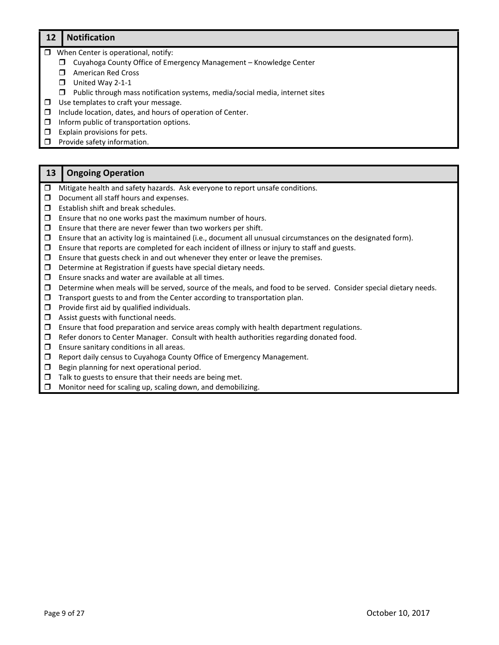### 12 | Notification

- $\Box$  When Center is operational, notify:
	- Cuyahoga County Office of Emergency Management Knowledge Center
	- **D** American Red Cross
	- $\Box$  United Way 2-1-1
	- $\Box$  Public through mass notification systems, media/social media, internet sites
- $\Box$  Use templates to craft your message.
- $\Box$  Include location, dates, and hours of operation of Center.
- $\Box$  Inform public of transportation options.
- $\Box$  Explain provisions for pets.
- $\Box$  Provide safety information.

### 13 | Ongoing Operation

- $\Box$  Mitigate health and safety hazards. Ask everyone to report unsafe conditions.
- $\Box$  Document all staff hours and expenses.
- $\Box$  Establish shift and break schedules.
- $\square$  Ensure that no one works past the maximum number of hours.
- $\Box$  Ensure that there are never fewer than two workers per shift.
- $\square$  Ensure that an activity log is maintained (i.e., document all unusual circumstances on the designated form).
- $\Box$  Ensure that reports are completed for each incident of illness or injury to staff and guests.
- $\Box$  Ensure that guests check in and out whenever they enter or leave the premises.
- $\Box$  Determine at Registration if guests have special dietary needs.
- $\square$  Ensure snacks and water are available at all times.
- $\Box$  Determine when meals will be served, source of the meals, and food to be served. Consider special dietary needs.
- $\Box$  Transport guests to and from the Center according to transportation plan.
- $\Box$  Provide first aid by qualified individuals.
- $\Box$  Assist guests with functional needs.
- $\Box$  Ensure that food preparation and service areas comply with health department regulations.
- $\Box$  Refer donors to Center Manager. Consult with health authorities regarding donated food.
- $\Box$  Ensure sanitary conditions in all areas.
- □ Report daily census to Cuyahoga County Office of Emergency Management.
- $\Box$  Begin planning for next operational period.
- $\Box$  Talk to guests to ensure that their needs are being met.
- $\Box$  Monitor need for scaling up, scaling down, and demobilizing.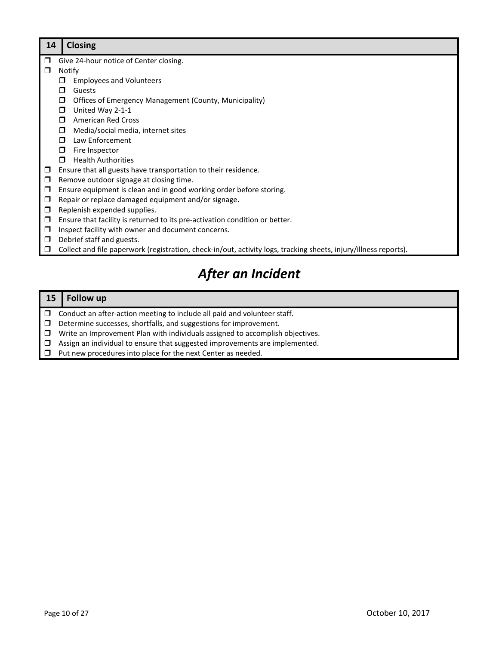| 14     | <b>Closing</b>                                                                                                   |  |  |  |  |  |  |
|--------|------------------------------------------------------------------------------------------------------------------|--|--|--|--|--|--|
| $\Box$ | Give 24-hour notice of Center closing.                                                                           |  |  |  |  |  |  |
| $\Box$ | Notify                                                                                                           |  |  |  |  |  |  |
|        | <b>Employees and Volunteers</b><br>$\Box$                                                                        |  |  |  |  |  |  |
|        | Guests<br>$\Box$                                                                                                 |  |  |  |  |  |  |
|        | Offices of Emergency Management (County, Municipality)                                                           |  |  |  |  |  |  |
|        | United Way 2-1-1<br>$\Box$                                                                                       |  |  |  |  |  |  |
|        | <b>American Red Cross</b><br>$\Box$                                                                              |  |  |  |  |  |  |
|        | Media/social media, internet sites<br>$\Box$                                                                     |  |  |  |  |  |  |
|        | Law Enforcement<br>$\Box$                                                                                        |  |  |  |  |  |  |
|        | Fire Inspector<br>□                                                                                              |  |  |  |  |  |  |
|        | <b>Health Authorities</b>                                                                                        |  |  |  |  |  |  |
| $\Box$ | Ensure that all guests have transportation to their residence.                                                   |  |  |  |  |  |  |
| $\Box$ | Remove outdoor signage at closing time.                                                                          |  |  |  |  |  |  |
| $\Box$ | Ensure equipment is clean and in good working order before storing.                                              |  |  |  |  |  |  |
| $\Box$ | Repair or replace damaged equipment and/or signage.                                                              |  |  |  |  |  |  |
| $\Box$ | Replenish expended supplies.                                                                                     |  |  |  |  |  |  |
| $\Box$ | Ensure that facility is returned to its pre-activation condition or better.                                      |  |  |  |  |  |  |
| $\Box$ | Inspect facility with owner and document concerns.                                                               |  |  |  |  |  |  |
| $\Box$ | Debrief staff and guests.                                                                                        |  |  |  |  |  |  |
| $\Box$ | Collect and file paperwork (registration, check-in/out, activity logs, tracking sheets, injury/illness reports). |  |  |  |  |  |  |

## After an Incident

### 15 Follow up

- $\Box$  Conduct an after-action meeting to include all paid and volunteer staff.
- Determine successes, shortfalls, and suggestions for improvement.
- $\Box$  Write an Improvement Plan with individuals assigned to accomplish objectives.
- $\Box$  Assign an individual to ensure that suggested improvements are implemented.
- $\Box$  Put new procedures into place for the next Center as needed.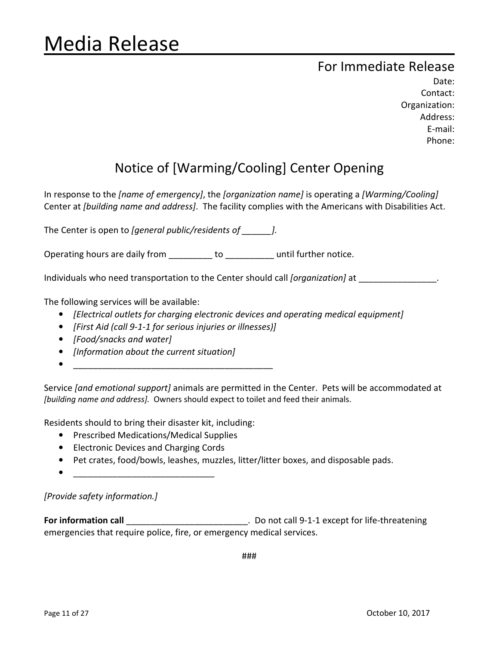# Media Release

## For Immediate Release

Date: Contact: Organization: Address: E-mail: Phone:

## Notice of [Warming/Cooling] Center Opening

In response to the [name of emergency], the [organization name] is operating a [Warming/Cooling] Center at *[building name and address]*. The facility complies with the Americans with Disabilities Act.

The Center is open to [general public/residents of  $\qquad$  ].

Operating hours are daily from \_\_\_\_\_\_\_\_\_ to \_\_\_\_\_\_\_\_\_ until further notice.

Individuals who need transportation to the Center should call *[organization]* at  $\qquad \qquad$ 

The following services will be available:

- [Electrical outlets for charging electronic devices and operating medical equipment]
- [First Aid (call 9-1-1 for serious injuries or illnesses)]
- [Food/snacks and water]
- [Information about the current situation]
- \_\_\_\_\_\_\_\_\_\_\_\_\_\_\_\_\_\_\_\_\_\_\_\_\_\_\_\_\_\_\_\_\_\_\_\_\_\_\_\_\_

Service *[and emotional support]* animals are permitted in the Center. Pets will be accommodated at [building name and address]. Owners should expect to toilet and feed their animals.

Residents should to bring their disaster kit, including:

- Prescribed Medications/Medical Supplies
- Electronic Devices and Charging Cords
- Pet crates, food/bowls, leashes, muzzles, litter/litter boxes, and disposable pads.
- $\bullet$   $\hspace{0.2cm}$   $\hspace{0.2cm}$   $\hspace{0.2cm}$   $\hspace{0.2cm}$   $\hspace{0.2cm}$   $\hspace{0.2cm}$   $\hspace{0.2cm}$   $\hspace{0.2cm}$   $\hspace{0.2cm}$   $\hspace{0.2cm}$   $\hspace{0.2cm}$   $\hspace{0.2cm}$   $\hspace{0.2cm}$   $\hspace{0.2cm}$   $\hspace{0.2cm}$   $\hspace{0.2cm}$   $\hspace{0.2cm}$   $\hspace{0.2cm}$

### [Provide safety information.]

For information call \_\_\_\_\_\_\_\_\_\_\_\_\_\_\_\_\_\_\_\_\_\_\_\_\_\_\_\_\_\_\_. Do not call 9-1-1 except for life-threatening emergencies that require police, fire, or emergency medical services.

###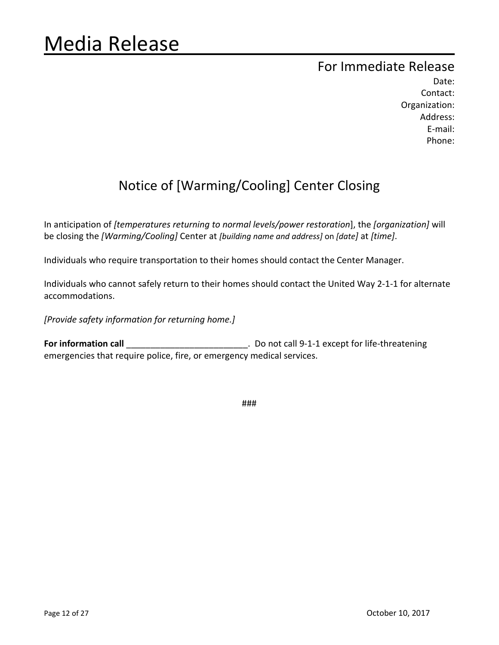# Media Release

### For Immediate Release

Date: Contact: Organization: Address: E-mail: Phone:

## Notice of [Warming/Cooling] Center Closing

In anticipation of [temperatures returning to normal levels/power restoration], the [organization] will be closing the [Warming/Cooling] Center at [building name and address] on [date] at [time].

Individuals who require transportation to their homes should contact the Center Manager.

Individuals who cannot safely return to their homes should contact the United Way 2-1-1 for alternate accommodations.

[Provide safety information for returning home.]

For information call \_\_\_\_\_\_\_\_\_\_\_\_\_\_\_\_\_\_\_\_\_\_\_\_\_\_\_\_\_\_. Do not call 9-1-1 except for life-threatening emergencies that require police, fire, or emergency medical services.

###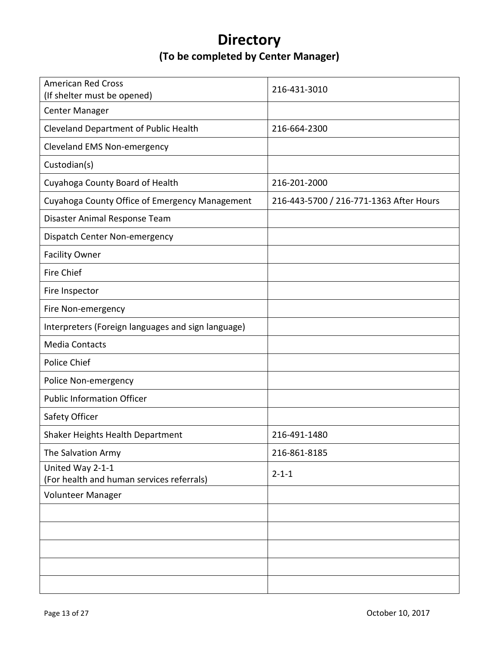## **Directory** (To be completed by Center Manager)

| <b>American Red Cross</b><br>(If shelter must be opened)      | 216-431-3010                            |
|---------------------------------------------------------------|-----------------------------------------|
| Center Manager                                                |                                         |
| Cleveland Department of Public Health                         | 216-664-2300                            |
| Cleveland EMS Non-emergency                                   |                                         |
| Custodian(s)                                                  |                                         |
| Cuyahoga County Board of Health                               | 216-201-2000                            |
| Cuyahoga County Office of Emergency Management                | 216-443-5700 / 216-771-1363 After Hours |
| Disaster Animal Response Team                                 |                                         |
| Dispatch Center Non-emergency                                 |                                         |
| <b>Facility Owner</b>                                         |                                         |
| <b>Fire Chief</b>                                             |                                         |
| Fire Inspector                                                |                                         |
| Fire Non-emergency                                            |                                         |
| Interpreters (Foreign languages and sign language)            |                                         |
| <b>Media Contacts</b>                                         |                                         |
| Police Chief                                                  |                                         |
| Police Non-emergency                                          |                                         |
| <b>Public Information Officer</b>                             |                                         |
| Safety Officer                                                |                                         |
| Shaker Heights Health Department                              | 216-491-1480                            |
| The Salvation Army                                            | 216-861-8185                            |
| United Way 2-1-1<br>(For health and human services referrals) | $2 - 1 - 1$                             |
| Volunteer Manager                                             |                                         |
|                                                               |                                         |
|                                                               |                                         |
|                                                               |                                         |
|                                                               |                                         |
|                                                               |                                         |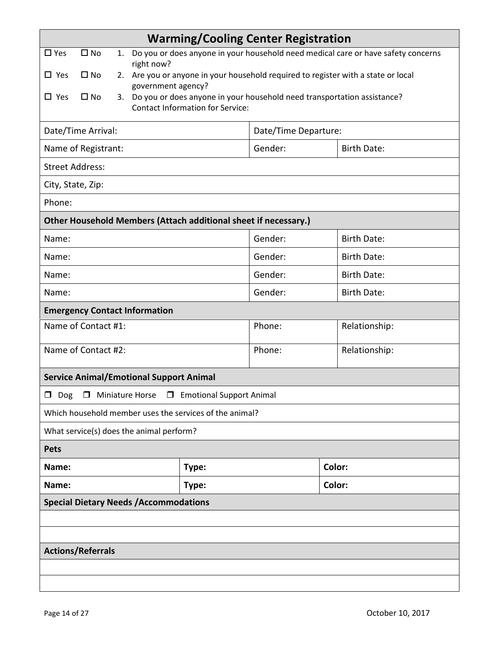| <b>Warming/Cooling Center Registration</b>                                                                                        |                               |         |                    |  |  |  |  |
|-----------------------------------------------------------------------------------------------------------------------------------|-------------------------------|---------|--------------------|--|--|--|--|
| $\square$ Yes<br>$\square$ No<br>Do you or does anyone in your household need medical care or have safety concerns<br>1.          |                               |         |                    |  |  |  |  |
| right now?<br>2. Are you or anyone in your household required to register with a state or local<br>$\square$ No<br>$\Box$ Yes     |                               |         |                    |  |  |  |  |
| government agency?<br>Do you or does anyone in your household need transportation assistance?<br>$\Box$ Yes<br>$\square$ No<br>3. |                               |         |                    |  |  |  |  |
| <b>Contact Information for Service:</b>                                                                                           |                               |         |                    |  |  |  |  |
| Date/Time Arrival:<br>Date/Time Departure:                                                                                        |                               |         |                    |  |  |  |  |
| Name of Registrant:                                                                                                               | Gender:<br><b>Birth Date:</b> |         |                    |  |  |  |  |
| <b>Street Address:</b>                                                                                                            |                               |         |                    |  |  |  |  |
| City, State, Zip:                                                                                                                 |                               |         |                    |  |  |  |  |
| Phone:                                                                                                                            |                               |         |                    |  |  |  |  |
| Other Household Members (Attach additional sheet if necessary.)                                                                   |                               |         |                    |  |  |  |  |
| Name:                                                                                                                             |                               | Gender: | <b>Birth Date:</b> |  |  |  |  |
| Name:                                                                                                                             |                               | Gender: | <b>Birth Date:</b> |  |  |  |  |
| Name:                                                                                                                             |                               | Gender: | <b>Birth Date:</b> |  |  |  |  |
| Name:                                                                                                                             |                               | Gender: | <b>Birth Date:</b> |  |  |  |  |
| <b>Emergency Contact Information</b>                                                                                              |                               |         |                    |  |  |  |  |
| Name of Contact #1:                                                                                                               |                               | Phone:  | Relationship:      |  |  |  |  |
| Name of Contact #2:                                                                                                               |                               | Phone:  | Relationship:      |  |  |  |  |
| <b>Service Animal/Emotional Support Animal</b>                                                                                    |                               |         |                    |  |  |  |  |
| □ Dog □ Miniature Horse □ Emotional Support Animal                                                                                |                               |         |                    |  |  |  |  |
| Which household member uses the services of the animal?                                                                           |                               |         |                    |  |  |  |  |
| What service(s) does the animal perform?                                                                                          |                               |         |                    |  |  |  |  |
| <b>Pets</b>                                                                                                                       |                               |         |                    |  |  |  |  |
| Name:                                                                                                                             | Type:                         |         | Color:             |  |  |  |  |
| Color:<br>Name:<br>Type:                                                                                                          |                               |         |                    |  |  |  |  |
| <b>Special Dietary Needs / Accommodations</b>                                                                                     |                               |         |                    |  |  |  |  |
|                                                                                                                                   |                               |         |                    |  |  |  |  |
|                                                                                                                                   |                               |         |                    |  |  |  |  |
| <b>Actions/Referrals</b>                                                                                                          |                               |         |                    |  |  |  |  |
|                                                                                                                                   |                               |         |                    |  |  |  |  |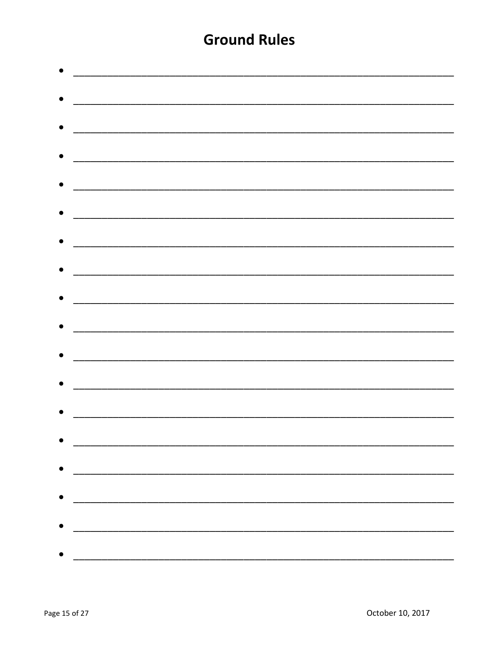## **Ground Rules**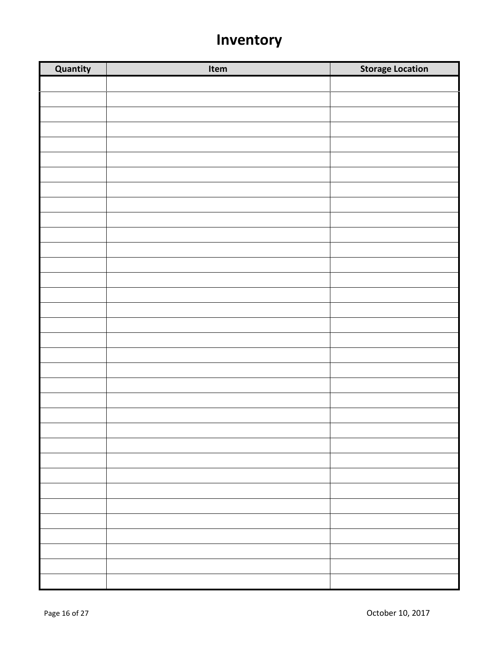# Inventory

| Quantity | Item | <b>Storage Location</b> |
|----------|------|-------------------------|
|          |      |                         |
|          |      |                         |
|          |      |                         |
|          |      |                         |
|          |      |                         |
|          |      |                         |
|          |      |                         |
|          |      |                         |
|          |      |                         |
|          |      |                         |
|          |      |                         |
|          |      |                         |
|          |      |                         |
|          |      |                         |
|          |      |                         |
|          |      |                         |
|          |      |                         |
|          |      |                         |
|          |      |                         |
|          |      |                         |
|          |      |                         |
|          |      |                         |
|          |      |                         |
|          |      |                         |
|          |      |                         |
|          |      |                         |
|          |      |                         |
|          |      |                         |
|          |      |                         |
|          |      |                         |
|          |      |                         |
|          |      |                         |
|          |      |                         |
|          |      |                         |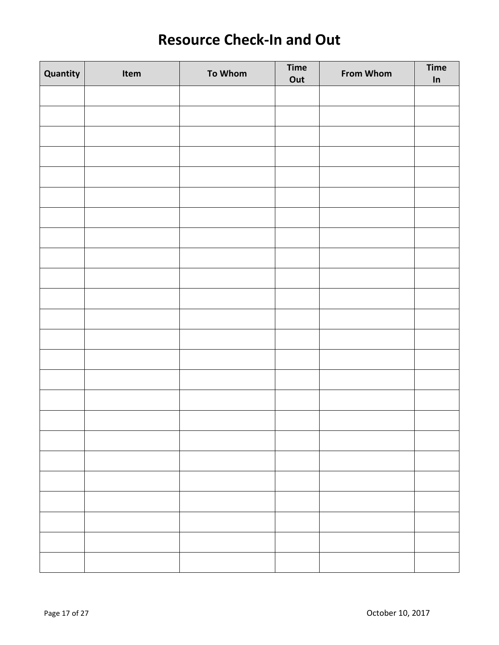## Resource Check-In and Out

| Quantity | Item | To Whom | <b>Time</b><br>Out | <b>From Whom</b> | <b>Time</b><br>In |
|----------|------|---------|--------------------|------------------|-------------------|
|          |      |         |                    |                  |                   |
|          |      |         |                    |                  |                   |
|          |      |         |                    |                  |                   |
|          |      |         |                    |                  |                   |
|          |      |         |                    |                  |                   |
|          |      |         |                    |                  |                   |
|          |      |         |                    |                  |                   |
|          |      |         |                    |                  |                   |
|          |      |         |                    |                  |                   |
|          |      |         |                    |                  |                   |
|          |      |         |                    |                  |                   |
|          |      |         |                    |                  |                   |
|          |      |         |                    |                  |                   |
|          |      |         |                    |                  |                   |
|          |      |         |                    |                  |                   |
|          |      |         |                    |                  |                   |
|          |      |         |                    |                  |                   |
|          |      |         |                    |                  |                   |
|          |      |         |                    |                  |                   |
|          |      |         |                    |                  |                   |
|          |      |         |                    |                  |                   |
|          |      |         |                    |                  |                   |
|          |      |         |                    |                  |                   |
|          |      |         |                    |                  |                   |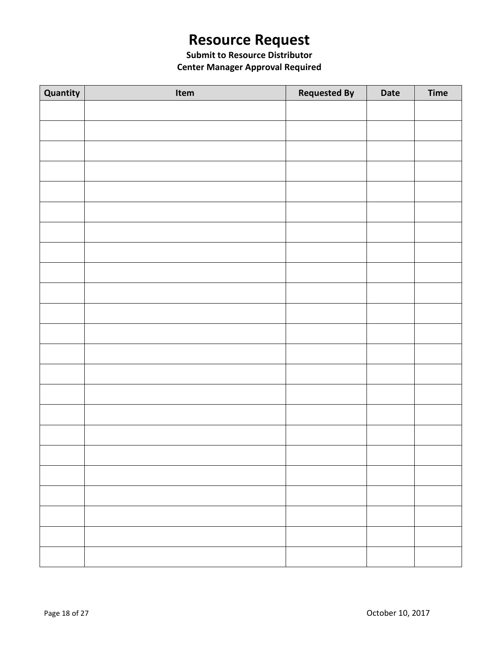# Resource Request

### Submit to Resource Distributor Center Manager Approval Required

| Quantity | Item | <b>Requested By</b> | Date | <b>Time</b> |
|----------|------|---------------------|------|-------------|
|          |      |                     |      |             |
|          |      |                     |      |             |
|          |      |                     |      |             |
|          |      |                     |      |             |
|          |      |                     |      |             |
|          |      |                     |      |             |
|          |      |                     |      |             |
|          |      |                     |      |             |
|          |      |                     |      |             |
|          |      |                     |      |             |
|          |      |                     |      |             |
|          |      |                     |      |             |
|          |      |                     |      |             |
|          |      |                     |      |             |
|          |      |                     |      |             |
|          |      |                     |      |             |
|          |      |                     |      |             |
|          |      |                     |      |             |
|          |      |                     |      |             |
|          |      |                     |      |             |
|          |      |                     |      |             |
|          |      |                     |      |             |
|          |      |                     |      |             |
|          |      |                     |      |             |
|          |      |                     |      |             |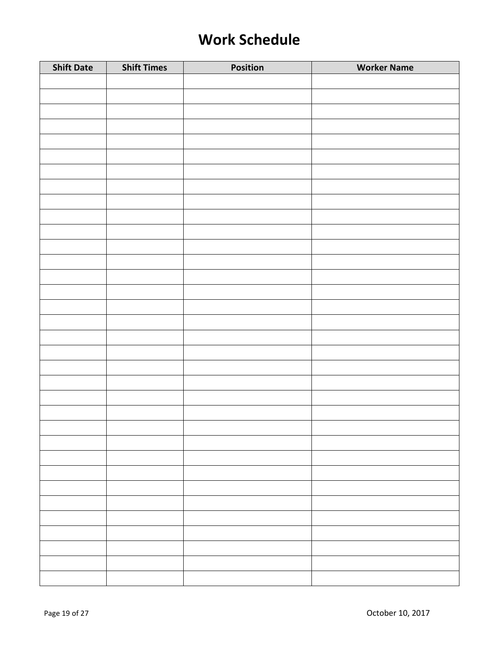## Work Schedule

| <b>Shift Date</b> | <b>Shift Times</b> | Position | <b>Worker Name</b> |
|-------------------|--------------------|----------|--------------------|
|                   |                    |          |                    |
|                   |                    |          |                    |
|                   |                    |          |                    |
|                   |                    |          |                    |
|                   |                    |          |                    |
|                   |                    |          |                    |
|                   |                    |          |                    |
|                   |                    |          |                    |
|                   |                    |          |                    |
|                   |                    |          |                    |
|                   |                    |          |                    |
|                   |                    |          |                    |
|                   |                    |          |                    |
|                   |                    |          |                    |
|                   |                    |          |                    |
|                   |                    |          |                    |
|                   |                    |          |                    |
|                   |                    |          |                    |
|                   |                    |          |                    |
|                   |                    |          |                    |
|                   |                    |          |                    |
|                   |                    |          |                    |
|                   |                    |          |                    |
|                   |                    |          |                    |
|                   |                    |          |                    |
|                   |                    |          |                    |
|                   |                    |          |                    |
|                   |                    |          |                    |
|                   |                    |          |                    |
|                   |                    |          |                    |
|                   |                    |          |                    |
|                   |                    |          |                    |
|                   |                    |          |                    |
|                   |                    |          |                    |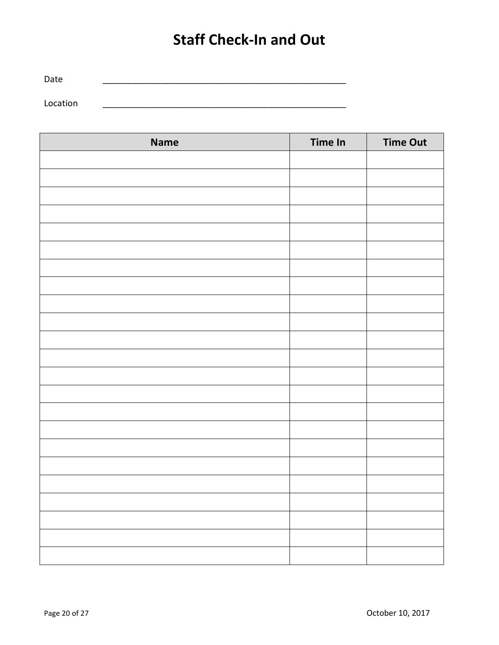## Staff Check-In and Out

Date \_\_\_\_\_\_\_\_\_\_\_\_\_\_\_\_\_\_\_\_\_\_\_\_\_\_\_\_\_\_\_\_\_\_\_\_\_\_\_\_\_\_\_\_\_\_\_\_\_\_ Location

| <b>Name</b> | Time In | <b>Time Out</b> |
|-------------|---------|-----------------|
|             |         |                 |
|             |         |                 |
|             |         |                 |
|             |         |                 |
|             |         |                 |
|             |         |                 |
|             |         |                 |
|             |         |                 |
|             |         |                 |
|             |         |                 |
|             |         |                 |
|             |         |                 |
|             |         |                 |
|             |         |                 |
|             |         |                 |
|             |         |                 |
|             |         |                 |
|             |         |                 |
|             |         |                 |
|             |         |                 |
|             |         |                 |
|             |         |                 |
|             |         |                 |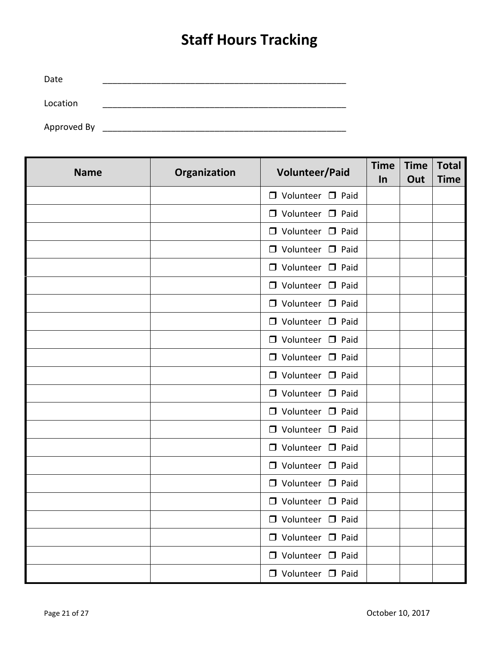# Staff Hours Tracking

Date \_\_\_\_\_\_\_\_\_\_\_\_\_\_\_\_\_\_\_\_\_\_\_\_\_\_\_\_\_\_\_\_\_\_\_\_\_\_\_\_\_\_\_\_\_\_\_\_\_\_ Location

Approved By \_\_\_\_\_\_\_\_\_\_\_\_\_\_\_\_\_\_\_\_\_\_\_\_\_\_\_\_\_\_\_\_\_\_\_\_\_\_\_\_\_\_\_\_\_\_\_\_\_\_

| <b>Name</b> | Organization | Volunteer/Paid     | <b>Time</b><br>$\ln$ | <b>Time</b><br>Out | <b>Total</b><br><b>Time</b> |
|-------------|--------------|--------------------|----------------------|--------------------|-----------------------------|
|             |              | □ Volunteer □ Paid |                      |                    |                             |
|             |              | □ Volunteer □ Paid |                      |                    |                             |
|             |              | □ Volunteer □ Paid |                      |                    |                             |
|             |              | □ Volunteer □ Paid |                      |                    |                             |
|             |              | □ Volunteer □ Paid |                      |                    |                             |
|             |              | □ Volunteer □ Paid |                      |                    |                             |
|             |              | □ Volunteer □ Paid |                      |                    |                             |
|             |              | □ Volunteer □ Paid |                      |                    |                             |
|             |              | □ Volunteer □ Paid |                      |                    |                             |
|             |              | □ Volunteer □ Paid |                      |                    |                             |
|             |              | □ Volunteer □ Paid |                      |                    |                             |
|             |              | □ Volunteer □ Paid |                      |                    |                             |
|             |              | □ Volunteer □ Paid |                      |                    |                             |
|             |              | □ Volunteer □ Paid |                      |                    |                             |
|             |              | □ Volunteer □ Paid |                      |                    |                             |
|             |              | □ Volunteer □ Paid |                      |                    |                             |
|             |              | □ Volunteer □ Paid |                      |                    |                             |
|             |              | □ Volunteer □ Paid |                      |                    |                             |
|             |              | □ Volunteer □ Paid |                      |                    |                             |
|             |              | □ Volunteer □ Paid |                      |                    |                             |
|             |              | □ Volunteer □ Paid |                      |                    |                             |
|             |              | □ Volunteer □ Paid |                      |                    |                             |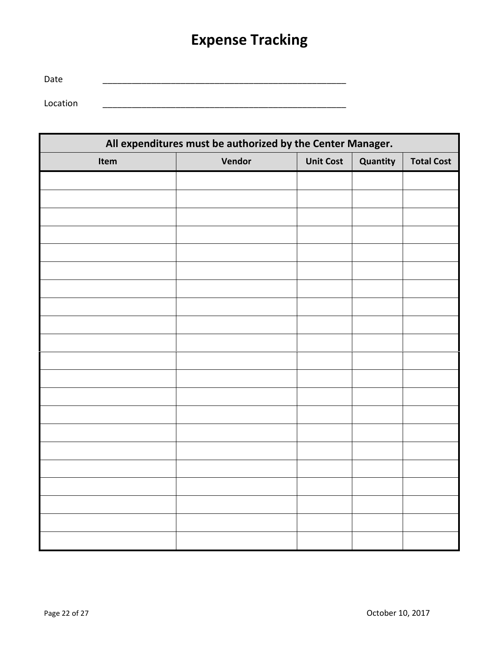# Expense Tracking

Date \_\_\_\_\_\_\_\_\_\_\_\_\_\_\_\_\_\_\_\_\_\_\_\_\_\_\_\_\_\_\_\_\_\_\_\_\_\_\_\_\_\_\_\_\_\_\_\_\_\_

Location

|      | All expenditures must be authorized by the Center Manager. |                  |          |                   |
|------|------------------------------------------------------------|------------------|----------|-------------------|
| Item | Vendor                                                     | <b>Unit Cost</b> | Quantity | <b>Total Cost</b> |
|      |                                                            |                  |          |                   |
|      |                                                            |                  |          |                   |
|      |                                                            |                  |          |                   |
|      |                                                            |                  |          |                   |
|      |                                                            |                  |          |                   |
|      |                                                            |                  |          |                   |
|      |                                                            |                  |          |                   |
|      |                                                            |                  |          |                   |
|      |                                                            |                  |          |                   |
|      |                                                            |                  |          |                   |
|      |                                                            |                  |          |                   |
|      |                                                            |                  |          |                   |
|      |                                                            |                  |          |                   |
|      |                                                            |                  |          |                   |
|      |                                                            |                  |          |                   |
|      |                                                            |                  |          |                   |
|      |                                                            |                  |          |                   |
|      |                                                            |                  |          |                   |
|      |                                                            |                  |          |                   |
|      |                                                            |                  |          |                   |
|      |                                                            |                  |          |                   |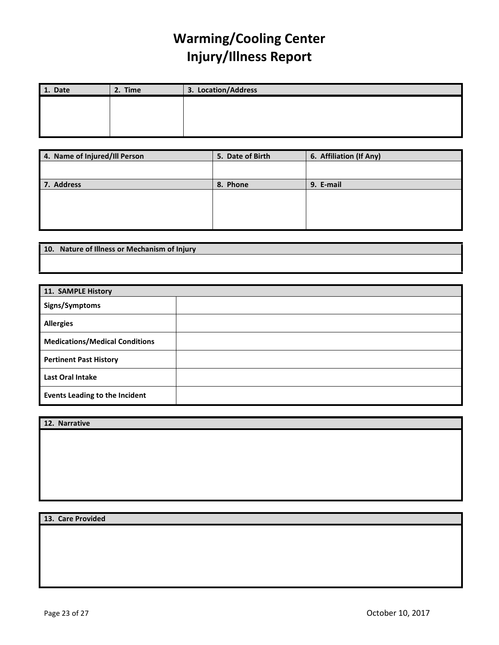## Warming/Cooling Center Injury/Illness Report

| 1. Date | 2. Time | 3. Location/Address |
|---------|---------|---------------------|
|         |         |                     |
|         |         |                     |
|         |         |                     |

| 4. Name of Injured/Ill Person | 5. Date of Birth | 6. Affiliation (If Any) |
|-------------------------------|------------------|-------------------------|
|                               |                  |                         |
|                               |                  |                         |
| 7. Address                    | 8. Phone         | 9. E-mail               |
|                               |                  |                         |
|                               |                  |                         |
|                               |                  |                         |
|                               |                  |                         |
|                               |                  |                         |

| 10. Nature of Illness or Mechanism of Injury |
|----------------------------------------------|
|                                              |

| 11. SAMPLE History                    |  |
|---------------------------------------|--|
| Signs/Symptoms                        |  |
| <b>Allergies</b>                      |  |
| <b>Medications/Medical Conditions</b> |  |
| <b>Pertinent Past History</b>         |  |
| <b>Last Oral Intake</b>               |  |
| <b>Events Leading to the Incident</b> |  |

12. Narrative

13. Care Provided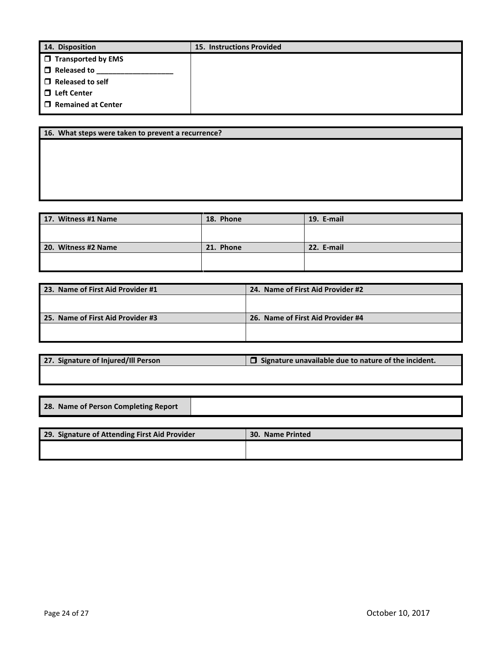| 14. Disposition           | <b>15. Instructions Provided</b> |
|---------------------------|----------------------------------|
| $\Box$ Transported by EMS |                                  |
| $\Box$ Released to        |                                  |
| $\Box$ Released to self   |                                  |
| $\Box$ Left Center        |                                  |
| $\Box$ Remained at Center |                                  |

16. What steps were taken to prevent a recurrence?

| 17. Witness #1 Name | 18. Phone | 19. E-mail |
|---------------------|-----------|------------|
|                     |           |            |
|                     |           |            |
| 20. Witness #2 Name | 21. Phone | 22. E-mail |
|                     |           |            |
|                     |           |            |

| 23. Name of First Aid Provider #1 | 24. Name of First Aid Provider #2 |
|-----------------------------------|-----------------------------------|
|                                   |                                   |
|                                   |                                   |
| 25. Name of First Aid Provider #3 | 26. Name of First Aid Provider #4 |
|                                   |                                   |
|                                   |                                   |

| 27. Signature of Injured/Ill Person | $\Box$ Signature unavailable due to nature of the incident. |
|-------------------------------------|-------------------------------------------------------------|
|                                     |                                                             |

| 28. Name of Person Completing Report |  |
|--------------------------------------|--|
|                                      |  |

| 29. Signature of Attending First Aid Provider | 30. Name Printed |
|-----------------------------------------------|------------------|
|                                               |                  |
|                                               |                  |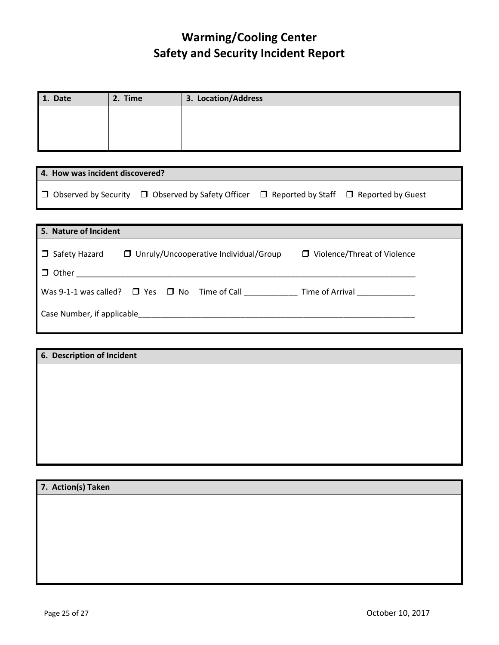## Warming/Cooling Center Safety and Security Incident Report

| 1. Date | 2. Time | 3. Location/Address |
|---------|---------|---------------------|
|         |         |                     |
|         |         |                     |
|         |         |                     |

| 4. How was incident discovered? |                                                                                                                 |  |
|---------------------------------|-----------------------------------------------------------------------------------------------------------------|--|
|                                 | $\Box$ Observed by Security $\Box$ Observed by Safety Officer $\Box$ Reported by Staff $\Box$ Reported by Guest |  |

| 5. Nature of Incident                                                                                                                                                                                                                         |                                    |
|-----------------------------------------------------------------------------------------------------------------------------------------------------------------------------------------------------------------------------------------------|------------------------------------|
| $\Box$ Safety Hazard<br>□ Unruly/Uncooperative Individual/Group                                                                                                                                                                               | $\Box$ Violence/Threat of Violence |
| $\Box$ Other<br>the control of the control of the control of the control of the control of the control of the control of the control of the control of the control of the control of the control of the control of the control of the control |                                    |
| Was 9-1-1 was called? $\Box$ Yes $\Box$ No Time of Call                                                                                                                                                                                       | Time of Arrival                    |
|                                                                                                                                                                                                                                               |                                    |
|                                                                                                                                                                                                                                               |                                    |

| 6. Description of Incident |  |  |
|----------------------------|--|--|
|                            |  |  |
|                            |  |  |
|                            |  |  |
|                            |  |  |
|                            |  |  |
|                            |  |  |
|                            |  |  |

| 7. Action(s) Taken |  |  |  |
|--------------------|--|--|--|
|                    |  |  |  |
|                    |  |  |  |
|                    |  |  |  |
|                    |  |  |  |
|                    |  |  |  |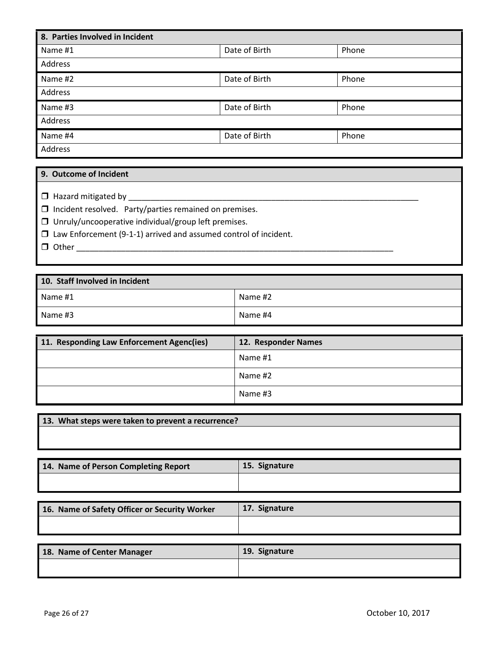| 8. Parties Involved in Incident |               |       |
|---------------------------------|---------------|-------|
| Name #1                         | Date of Birth | Phone |
| Address                         |               |       |
| Name #2                         | Date of Birth | Phone |
| Address                         |               |       |
| Name #3                         | Date of Birth | Phone |
| Address                         |               |       |
| Name #4                         | Date of Birth | Phone |
| Address                         |               |       |

### 9. Outcome of Incident

Hazard mitigated by \_\_\_\_\_\_\_\_\_\_\_\_\_\_\_\_\_\_\_\_\_\_\_\_\_\_\_\_\_\_\_\_\_\_\_\_\_\_\_\_\_\_\_\_\_\_\_\_\_\_\_\_\_\_\_\_\_\_\_\_\_\_\_\_\_

 $\Box$  Incident resolved. Party/parties remained on premises.

Unruly/uncooperative individual/group left premises.

 $\square$  Law Enforcement (9-1-1) arrived and assumed control of incident.

Other \_\_\_\_\_\_\_\_\_\_\_\_\_\_\_\_\_\_\_\_\_\_\_\_\_\_\_\_\_\_\_\_\_\_\_\_\_\_\_\_\_\_\_\_\_\_\_\_\_\_\_\_\_\_\_\_\_\_\_\_\_\_\_\_\_\_\_\_\_\_\_

| 10. Staff Involved in Incident |         |  |
|--------------------------------|---------|--|
| Name #1                        | Name #2 |  |
| Name #3                        | Name #4 |  |

| 11. Responding Law Enforcement Agenc(ies) | 12. Responder Names |
|-------------------------------------------|---------------------|
|                                           | Name #1             |
|                                           | Name #2             |
|                                           | Name #3             |

13. What steps were taken to prevent a recurrence?

| 14. Name of Person Completing Report | 15. Signature |
|--------------------------------------|---------------|
|                                      |               |

| 16. Name of Safety Officer or Security Worker | 17. Signature |
|-----------------------------------------------|---------------|
|                                               |               |
|                                               |               |

| 18. Name of Center Manager | 19. Signature |
|----------------------------|---------------|
|                            |               |